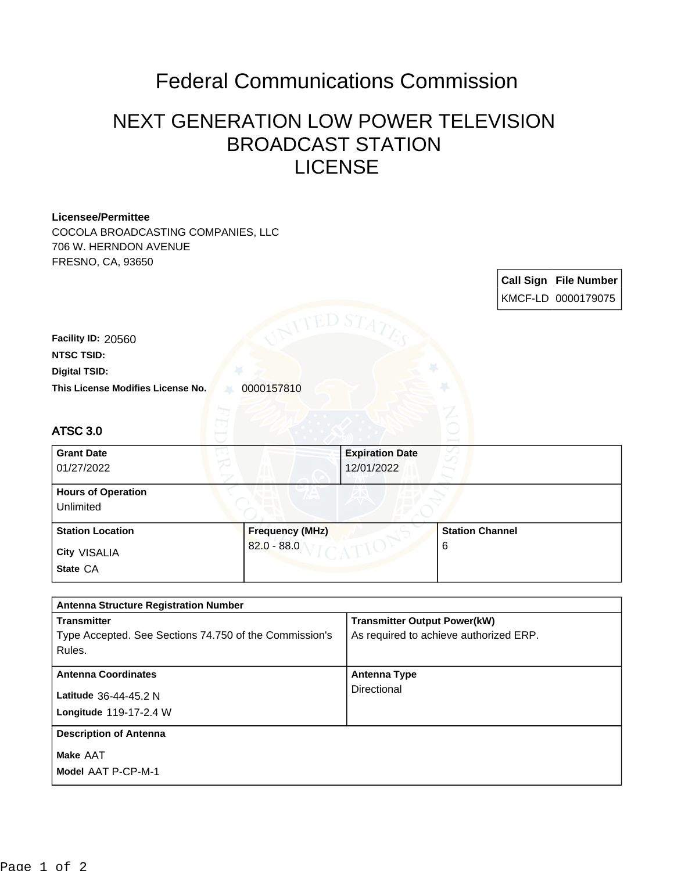## Federal Communications Commission

## NEXT GENERATION LOW POWER TELEVISION BROADCAST STATION LICENSE

| Licensee/Permittee                                     |                        |                                        |                        |  |                              |
|--------------------------------------------------------|------------------------|----------------------------------------|------------------------|--|------------------------------|
| COCOLA BROADCASTING COMPANIES, LLC                     |                        |                                        |                        |  |                              |
| 706 W. HERNDON AVENUE                                  |                        |                                        |                        |  |                              |
| FRESNO, CA, 93650                                      |                        |                                        |                        |  |                              |
|                                                        |                        |                                        |                        |  | <b>Call Sign File Number</b> |
|                                                        |                        |                                        |                        |  | KMCF-LD 0000179075           |
|                                                        |                        |                                        |                        |  |                              |
|                                                        | TED ST                 |                                        |                        |  |                              |
| Facility ID: 20560                                     |                        |                                        |                        |  |                              |
| <b>NTSC TSID:</b>                                      |                        |                                        |                        |  |                              |
| <b>Digital TSID:</b>                                   |                        |                                        |                        |  |                              |
| This License Modifies License No.                      | 0000157810             |                                        |                        |  |                              |
|                                                        |                        |                                        |                        |  |                              |
|                                                        |                        |                                        |                        |  |                              |
| <b>ATSC 3.0</b>                                        |                        |                                        |                        |  |                              |
| <b>Grant Date</b>                                      |                        | <b>Expiration Date</b>                 |                        |  |                              |
| 01/27/2022                                             |                        |                                        |                        |  |                              |
|                                                        |                        |                                        |                        |  |                              |
| <b>Hours of Operation</b>                              |                        |                                        |                        |  |                              |
| <b>Unlimited</b>                                       |                        |                                        |                        |  |                              |
| <b>Station Location</b>                                | <b>Frequency (MHz)</b> |                                        | <b>Station Channel</b> |  |                              |
|                                                        | $82.0 - 88.0$          |                                        | 6                      |  |                              |
| City VISALIA                                           |                        |                                        |                        |  |                              |
| State CA                                               |                        |                                        |                        |  |                              |
|                                                        |                        |                                        |                        |  |                              |
| <b>Antenna Structure Registration Number</b>           |                        |                                        |                        |  |                              |
| <b>Transmitter</b>                                     |                        | <b>Transmitter Output Power(kW)</b>    |                        |  |                              |
| Type Accepted. See Sections 74.750 of the Commission's |                        | As required to achieve authorized ERP. |                        |  |                              |
| Rules.                                                 |                        |                                        |                        |  |                              |
|                                                        |                        | <b>Antenna Type</b>                    |                        |  |                              |
| <b>Antenna Coordinates</b>                             |                        | Directional                            |                        |  |                              |
| Latitude 36-44-45.2 N                                  |                        |                                        |                        |  |                              |
| Longitude 119-17-2.4 W                                 |                        |                                        |                        |  |                              |
| <b>Description of Antenna</b>                          |                        |                                        |                        |  |                              |
| Make AAT                                               |                        |                                        |                        |  |                              |
| Model AAT P-CP-M-1                                     |                        |                                        |                        |  |                              |
|                                                        |                        |                                        |                        |  |                              |